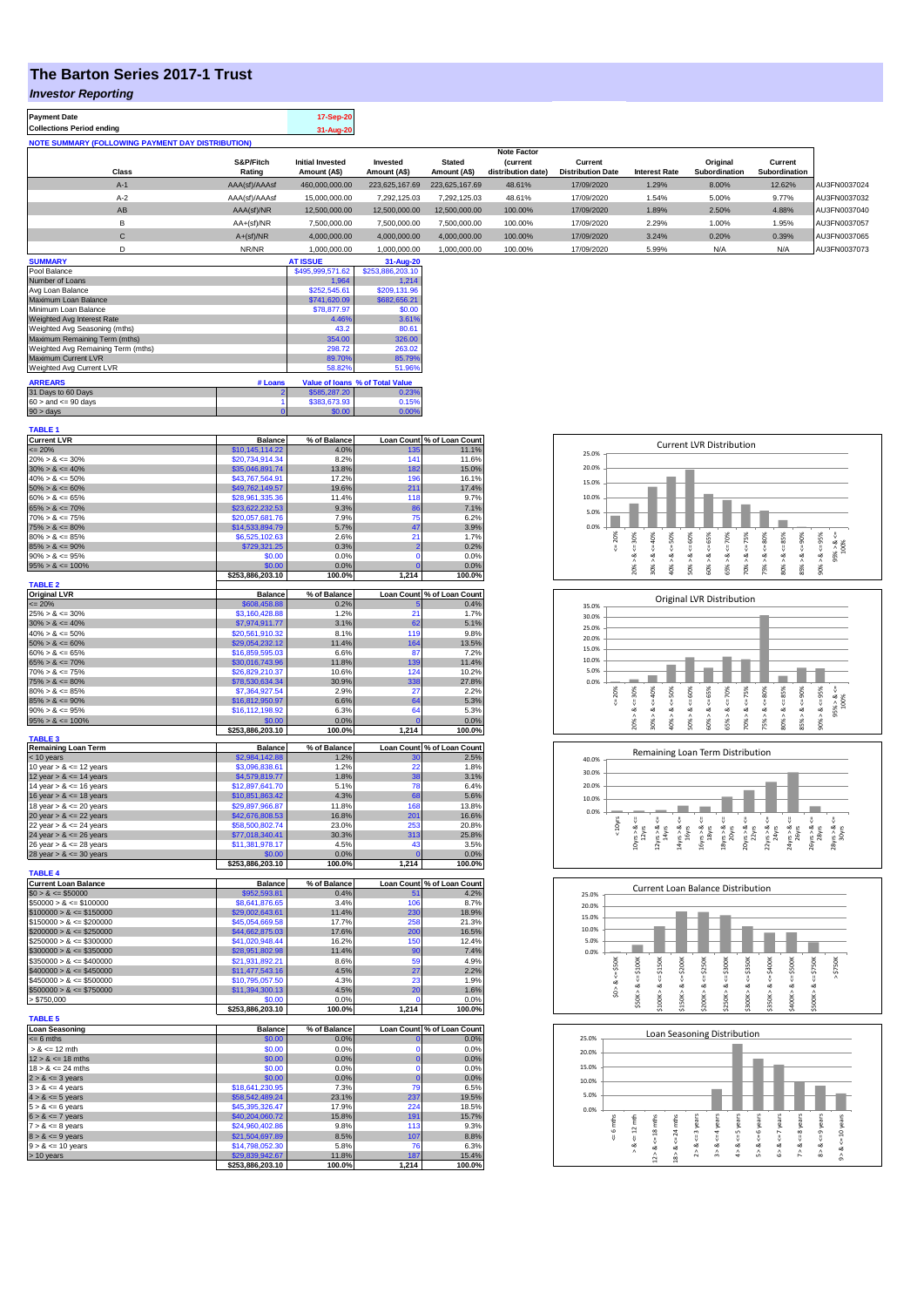## **The Barton Series 2017-1 Trust**

## *Investor Reporting*

| <b>Payment Date</b>                                      | 17-Sep-20 |
|----------------------------------------------------------|-----------|
| <b>Collections Period ending</b>                         | 31-Aug-20 |
| <b>NOTE SUMMARY (FOLLOWING PAYMENT DAY DISTRIBUTION)</b> |           |
|                                                          |           |

|              |               |                         |                |                | <b>Note Factor</b> |                          |                      |               |               |              |
|--------------|---------------|-------------------------|----------------|----------------|--------------------|--------------------------|----------------------|---------------|---------------|--------------|
|              | S&P/Fitch     | <b>Initial Invested</b> | Invested       | <b>Stated</b>  | <b>(current</b>    | Current                  |                      | Original      | Current       |              |
| <b>Class</b> | Rating        | Amount (A\$)            | Amount (A\$)   | Amount (A\$)   | distribution date) | <b>Distribution Date</b> | <b>Interest Rate</b> | Subordination | Subordination |              |
| $A-1$        | AAA(sf)/AAAsf | 460,000,000.00          | 223.625.167.69 | 223.625.167.69 | 48.61%             | 17/09/2020               | 1.29%                | 8.00%         | 12.62%        | AU3FN0037024 |
| $A-2$        | AAA(sf)/AAAsf | 15,000,000.00           | 7.292.125.03   | 7.292.125.03   | 48.61%             | 17/09/2020               | 1.54%                | 5.00%         | 9.77%         | AU3FN0037032 |
| AB           | AAA(sf)/NR    | 12,500,000.00           | 12.500.000.00  | 12.500.000.00  | 100.00%            | 17/09/2020               | 1.89%                | 2.50%         | 4.88%         | AU3FN0037040 |
|              | $AA+(sf)/NR$  | 7.500.000.00            | 7.500.000.00   | 7.500.000.00   | 100.00%            | 17/09/2020               | 2.29%                | 1.00%         | 1.95%         | AU3FN0037057 |
| ◡            | $A+(sf)/NR$   | 4.000.000.00            | 4.000.000.00   | 4.000.000.00   | 100.00%            | 17/09/2020               | 3.24%                | 0.20%         | 0.39%         | AU3FN0037065 |
|              | NR/NR         | 1.000.000.00            | 1.000.000.00   | 1.000.000.00   | 100.00%            | 17/09/2020               | 5.99%                | N/A           | N/A           | AU3FN0037073 |
|              |               |                         |                |                |                    |                          |                      |               |               |              |

| <b>SUMMARY</b>                     |         | <b>AT ISSUE</b>  | 31-Aug-20                       |
|------------------------------------|---------|------------------|---------------------------------|
| Pool Balance                       |         | \$495,999,571.62 | \$253,886,203.10                |
| Number of Loans                    |         | 1.964            | 1.214                           |
| Avg Loan Balance                   |         | \$252,545.61     | \$209,131.96                    |
| Maximum Loan Balance               |         | \$741,620.09     | \$682,656.21                    |
| Minimum Loan Balance               |         | \$78,877.97      | \$0.00                          |
| Weighted Avg Interest Rate         |         | 4.46%            | 3.61%                           |
| Weighted Avg Seasoning (mths)      |         | 43.2             | 80.61                           |
| Maximum Remaining Term (mths)      |         | 354.00           | 326.00                          |
| Weighted Avg Remaining Term (mths) |         | 298.72           | 263.02                          |
| Maximum Current LVR                |         | 89.70%           | 85.79%                          |
| Weighted Avg Current LVR           |         | 58.82%           | 51.96%                          |
| <b>ARREARS</b>                     | # Loans |                  | Value of Ioans % of Total Value |
| 31 Days to 60 Days                 |         | \$585,287,20     | 0.23%                           |
| $60 >$ and $\leq 90$ days          |         | \$383,673.93     | 0.15%                           |
| $90 > \text{days}$                 |         | \$0.00           | 0.00%                           |

| <b>TABLE 1</b>                                           |                                    |                      |                            |                                         |
|----------------------------------------------------------|------------------------------------|----------------------|----------------------------|-----------------------------------------|
| <b>Current LVR</b>                                       | <b>Balance</b>                     | % of Balance         |                            | Loan Count % of Loan Count<br>135 11.1% |
| $\leq$ 20%<br>$20\% > 8 \le 30\%$                        | \$10,145,114.22<br>\$20,734,914.34 | 4.0%<br>8.2%         | 141                        | 11.6%                                   |
| $30\% > 8 \le 40\%$                                      | \$35,046,891.74                    | 13.8%                | 182                        | 15.0%                                   |
| $40\% > 8 \le 50\%$                                      | \$43,767,564.91                    | 17.2%                | 196                        | 16.1%                                   |
| $50\% > 8 \le 60\%$                                      | \$49,762,149.57                    | 19.6%                | 211                        | 17.4%                                   |
| $60\% > 8 \le 65\%$                                      | \$28,961,335.36                    | 11.4%                | 118                        | 9.7%                                    |
| $65\% > 8 \le 70\%$                                      | \$23,622,232.53                    | 9.3%                 | 86                         | 7.1%                                    |
| $70\% > 8 \le 75\%$                                      | \$20,057,681.76                    | 7.9%                 | 75                         | 6.2%                                    |
| $75\% > 8 \le 80\%$                                      | \$14,533,894.79                    | 5.7%                 | 47                         | 3.9%                                    |
| $80\% > 8 \le 85\%$                                      | \$6,525,102.63                     | 2.6%                 | 21                         | 1.7%                                    |
| $85\% > 8 \le 90\%$<br>$90\% > 8 \le 95\%$               | \$729,321.25<br>\$0.00             | 0.3%<br>0.0%         | $\overline{2}$<br>$\Omega$ | 0.2%<br>0.0%                            |
| $95\% > 8 \le 100\%$                                     | \$0.00                             | 0.0%                 | $\mathbf 0$                | 0.0%                                    |
|                                                          | \$253,886,203.10                   | 100.0%               | 1,214                      | 100.0%                                  |
| <b>TABLE 2</b>                                           |                                    |                      |                            |                                         |
| <b>Original LVR</b>                                      | <b>Balance</b>                     | % of Balance         |                            | Loan Count % of Loan Count              |
| $= 20%$                                                  | \$608,458.88                       | 0.2%                 |                            | 0.4%                                    |
| $25\% > 8 \le 30\%$                                      | \$3,160,428.88                     | 1.2%                 | 21                         | 1.7%                                    |
| $30\% > 8 \le 40\%$<br>$40\% > 8 \le 50\%$               | \$7,974,911.77<br>\$20,561,910.32  | 3.1%<br>8.1%         | 62<br>119                  | 5.1%<br>9.8%                            |
| $50\% > 8 \le 60\%$                                      | \$29,054,232.12                    | 11.4%                | 164                        | 13.5%                                   |
| $60\% > 8 \le 65\%$                                      | \$16,859,595,03                    | 6.6%                 | 87                         | 7.2%                                    |
| $65\% > 8 \le 70\%$                                      | \$30,016,743.96                    | 11.8%                | 139                        | 11.4%                                   |
| $70\% > 8 \le 75\%$                                      | \$26,829,210.37                    | 10.6%                | 124                        | 10.2%                                   |
| $75\% > 8 \le 80\%$                                      | \$78,530,634.34                    | 30.9%                | 338                        | 27.8%                                   |
| $80\% > 8 \le 85\%$                                      | \$7,364,927.54                     | 2.9%                 | 27                         | 2.2%                                    |
| $85\% > 8 \le 90\%$                                      | \$16,812,950.97                    | 6.6%                 | 64                         | 5.3%                                    |
| $90\% > 8 \le 95\%$                                      | \$16,112,198.92                    | 6.3%                 | 64                         | 5.3%                                    |
| $95\% > 8 \le 100\%$                                     | \$0.00<br>\$253,886,203.10         | 0.0%<br>100.0%       | $\Omega$<br>1,214          | 0.0%<br>100.0%                          |
| <b>TABLE 3</b>                                           |                                    |                      |                            |                                         |
| <b>Remaining Loan Term</b>                               | <b>Balance</b>                     | % of Balance         |                            | Loan Count % of Loan Count              |
| $< 10$ years                                             | \$2,984,142.88                     | 1.2%                 | 30                         | 2.5%                                    |
| 10 year $> 8 \le 12$ years                               | \$3,096,838.61                     | 1.2%                 | 22                         | 1.8%                                    |
| 12 year $> 8 \le 14$ years                               | \$4,579,819.77                     | 1.8%                 | 38<br>78                   | 3.1%                                    |
| 14 year $> 8 \le 16$ years<br>16 year $> 8 \le 18$ years | \$12,897,641.70<br>\$10,851,863.42 | 5.1%<br>4.3%         | 68                         | 6.4%<br>5.6%                            |
| 18 year $> 8 \le 20$ years                               | \$29,897,966.87                    | 11.8%                | 168                        | 13.8%                                   |
| 20 year $> 8 \le 22$ years                               | \$42,676,808.53                    | 16.8%                | 201                        | 16.6%                                   |
| 22 year $> 8 \le 24$ years                               | \$58,500,802.74                    | 23.0%                | 253                        | 20.8%                                   |
| 24 year $> 8 \le 26$ years                               | \$77,018,340.41                    | 30.3%                | 313                        | 25.8%                                   |
| 26 year $> 8 \le 28$ years                               | \$11,381,978.17                    | 4.5%                 | 43                         | 3.5%                                    |
| 28 year $> 8 \le 30$ years                               | \$0.00                             | 0.0%                 | $\overline{0}$             | 0.0%                                    |
| <b>TABLE 4</b>                                           | \$253,886,203.10                   | 100.0%               | 1,214                      | 100.0%                                  |
| <b>Current Loan Balance</b>                              | <b>Balance</b>                     | % of Balance         |                            | Loan Count % of Loan Count              |
| $$0 > 8 \le $50000$                                      | \$952,593.81                       | 0.4%                 |                            | 4.2%                                    |
| $$50000 > 8 \le $100000$                                 | \$8,641,876.65                     | 3.4%                 | 106                        | 8.7%                                    |
| $$100000 > 8 \le $150000$                                | \$29,002,643.61                    | 11.4%                | 230                        | 18.9%                                   |
| $$150000 > 8 \le $200000$                                | \$45,054,669.58                    | 17.7%                | 258                        | 21.3%                                   |
| $$200000 > 8 \leq $250000$                               | \$44,662,875.03                    | 17.6%                | 200                        | 16.5%                                   |
| $$250000 > 8 \le $300000$                                | \$41,020,948.44                    | 16.2%                | 150                        | 12.4%                                   |
| $$300000 > 8 \leq $350000$<br>$$350000 > 8 \le $400000$  | \$28,951,802.98<br>\$21,931,892.21 | 11.4%<br>8.6%        | 90<br>59                   | 7.4%<br>4.9%                            |
| $$400000 > 8 \le $450000$                                | \$11,477,543.16                    | 4.5%                 | 27                         | 2.2%                                    |
| $$450000 > 8 \le $500000$                                | \$10,795,057.50                    | 4.3%                 | 23                         | 1.9%                                    |
| $$500000 > 8 \leq $750000$                               | \$11,394,300.13                    | 4.5%                 | 20                         | 1.6%                                    |
| > \$750,000                                              | \$0.00                             | 0.0%                 | O                          | 0.0%                                    |
|                                                          | \$253,886,203.10                   | 100.0%               | 1,214                      | 100.0%                                  |
| <b>TABLE 5</b>                                           |                                    |                      |                            |                                         |
| <b>Loan Seasoning</b><br>$= 6$ mths                      | <b>Balance</b>                     | % of Balance<br>0.0% | $\mathbf 0$                | Loan Count % of Loan Count<br>0.0%      |
| $> 8 \le 12$ mth                                         | \$0.00<br>\$0.00                   | 0.0%                 | $\mathbf 0$                | 0.0%                                    |
| $12 > 8 \le 18$ mths                                     | \$0.00                             | 0.0%                 | $\mathbf 0$                | 0.0%                                    |
| $18 > 8 \le 24$ mths                                     | \$0.00                             | 0.0%                 | $\mathbf 0$                | 0.0%                                    |
| $2 > 8 \le 3$ years                                      | \$0.00                             | 0.0%                 | $\mathbf 0$                | 0.0%                                    |
| $3 > 8 \le 4$ years                                      | \$18,641,230.95                    | 7.3%                 | 79                         | 6.5%                                    |
| $4 > 8 \le 5$ years                                      | \$58,542,489.24                    | 23.1%                | 237                        | 19.5%                                   |
| $5 > 8 \le 6$ years                                      | \$45,395,326.47                    | 17.9%                | 224                        | 18.5%                                   |
| $6 > 8 \le 7$ years                                      | \$40,204,060.72                    | 15.8%                | 191<br>113                 | 15.7%<br>9.3%                           |
| $7 > 8 \le 8$ years<br>$8 > 8 \le 9$ years               | \$24,960,402.86<br>\$21,504,697.89 | 9.8%<br>8.5%         | 107                        | 8.8%                                    |
| $9 > 8 \le 10$ years                                     | \$14,798,052.30                    | 5.8%                 | 76                         | 6.3%                                    |
| $> 10$ years                                             | \$29,839,942.67                    | 11.8%                | 187                        | 15.4%                                   |
|                                                          |                                    |                      |                            |                                         |
|                                                          | \$253,886,203.10                   | 100.0%               | 1,214                      | 100.0%                                  |

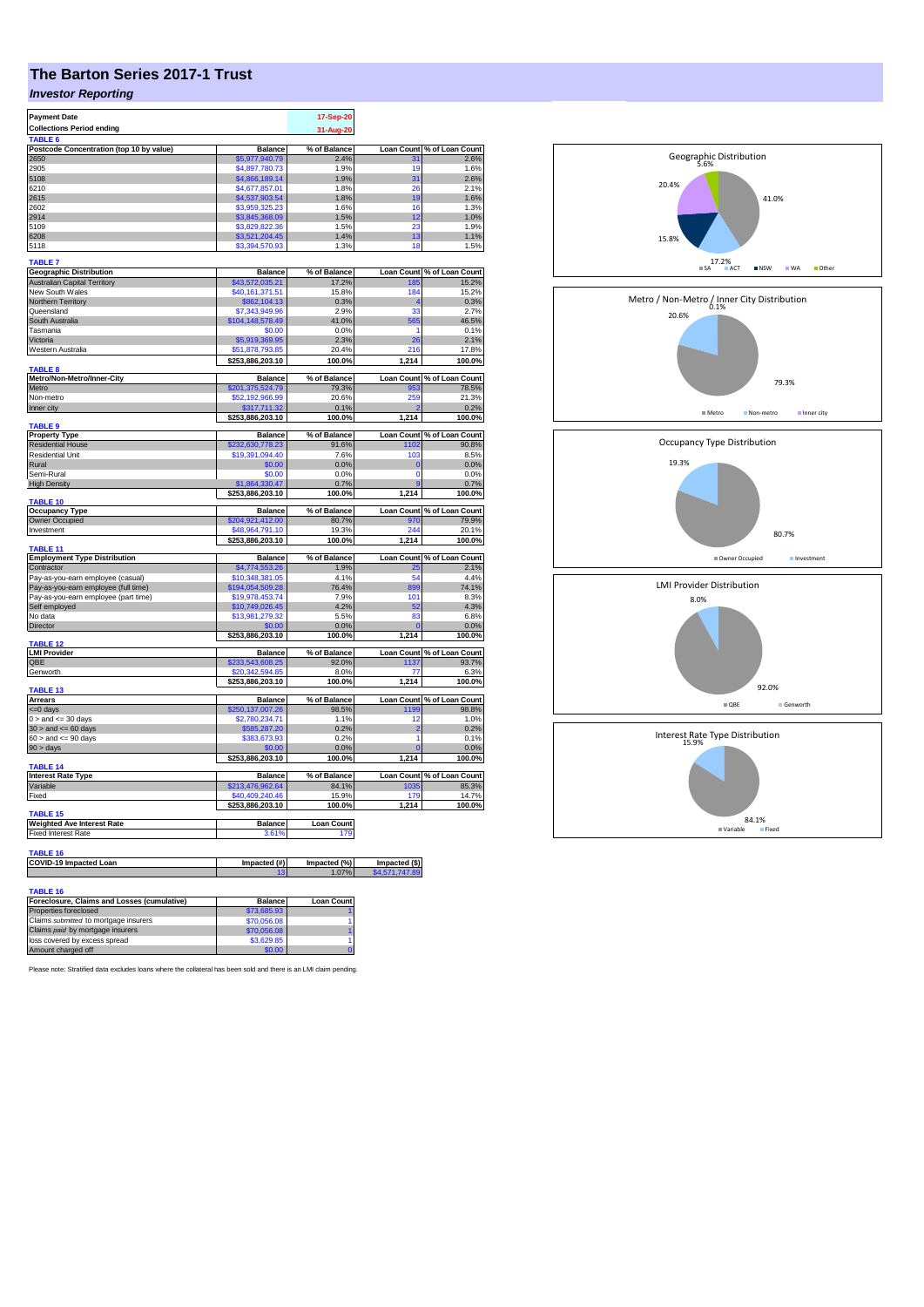## **The Barton Series 2017-1 Trust**

## *Investor Reporting*

| <b>Payment Date</b>                                                   |                                     | 17-Sep-20             |                                 |                                     |
|-----------------------------------------------------------------------|-------------------------------------|-----------------------|---------------------------------|-------------------------------------|
| <b>Collections Period ending</b>                                      |                                     | 31-Aug-20             |                                 |                                     |
| TABLE <sub>6</sub>                                                    |                                     |                       |                                 |                                     |
| Postcode Concentration (top 10 by value)                              | <b>Balance</b>                      | % of Balance          | <b>Loan Count</b>               | % of Loan Count<br>2.6%             |
| 2650                                                                  | \$5,977,940.79                      | 2.4%                  | 31                              |                                     |
| 2905                                                                  | \$4,897,780,73                      | 1.9%                  | 19                              | 1.6%                                |
| 5108                                                                  | \$4,866,189.14                      | 1.9%                  | 31                              | 2.6%                                |
| 6210                                                                  | \$4,677,857.01                      | 1.8%                  | 26                              | 2.1%                                |
| 2615<br>2602                                                          | \$4,537,903.54<br>\$3,959,325.23    | 1.8%<br>1.6%          | 19<br>16                        | 1.6%<br>1.3%                        |
| 2914                                                                  | \$3,845,368.09                      | 1.5%                  | 12                              | 1.0%                                |
| 5109                                                                  | \$3,829,822.36                      | 1.5%                  | 23                              | 1.9%                                |
| 6208                                                                  | \$3,521,204.45                      | 1.4%                  | 13                              | 1.1%                                |
| 5118                                                                  | \$3,394,570.93                      | 1.3%                  | 18                              | 1.5%                                |
|                                                                       |                                     |                       |                                 |                                     |
| <b>TABLE 7</b>                                                        | <b>Balance</b>                      |                       |                                 |                                     |
| <b>Geographic Distribution</b><br><b>Australian Capital Territory</b> | \$43,572,035.21                     | % of Balance<br>17.2% | <b>Loan Count</b><br>185        | % of Loan Count<br>15.2%            |
| New South Wales                                                       | \$40,161,371.51                     | 15.8%                 | 184                             | 15.2%                               |
| Northern Territory                                                    | \$862,104.13                        | 0.3%                  |                                 | 0.3%                                |
| Queensland                                                            | \$7,343,949.96                      | 2.9%                  | 33                              | 2.7%                                |
| South Australia                                                       | \$104,148,578.49                    | 41.0%                 | 565                             | 46.5%                               |
| Tasmania                                                              | \$0.00                              | 0.0%                  | 1                               | 0.1%                                |
| Victoria                                                              | \$5,919,369.95                      | 2.3%                  | 26                              | 2.1%                                |
| Western Australia                                                     | \$51,878,793.85                     | 20.4%                 | 216                             | 17.8%                               |
|                                                                       | \$253,886,203.10                    | 100.0%                | 1,214                           | 100.0%                              |
| TABLE <sub>8</sub><br>Metro/Non-Metro/Inner-City                      | <b>Balance</b>                      | % of Balance          | <b>Loan Count</b>               | % of Loan Count                     |
| Metro                                                                 | \$201,375,524.79                    | 79.3%                 | 953                             | 78.5%                               |
| Non-metro                                                             | \$52,192,966.99                     | 20.6%                 | 259                             | 21.3%                               |
| Inner city                                                            | \$317,711.32                        | 0.1%                  |                                 | 0.2%                                |
|                                                                       | \$253,886,203.10                    | 100.0%                | 1,214                           | 100.0%                              |
| <b>TABLE 9</b>                                                        |                                     |                       |                                 |                                     |
| <b>Property Type</b>                                                  | <b>Balance</b>                      | % of Balance          |                                 | Loan Count % of Loan Count          |
| <b>Residential House</b><br><b>Residential Unit</b>                   | \$232,630,778,23                    | 91.6%<br>7.6%         | 1102<br>103                     | 90.8%<br>8.5%                       |
| Rural                                                                 | \$19,391,094.40<br>\$0.00           | 0.0%                  | $\overline{0}$                  | 0.0%                                |
| Semi-Rural                                                            | \$0.00                              | 0.0%                  | $\Omega$                        | 0.0%                                |
| <b>High Density</b>                                                   | \$1,864,330.47                      | 0.7%                  |                                 | 0.7%                                |
|                                                                       | \$253,886,203.10                    | 100.0%                | 1,214                           | 100.0%                              |
| <b>TABLE 10</b>                                                       |                                     |                       |                                 |                                     |
| <b>Occupancy Type</b>                                                 | <b>Balance</b>                      | % of Balance          | Loan Count                      | % of Loan Count                     |
| Owner Occupied<br>Investment                                          | \$204,921,412.00                    | 80.7%                 | 970<br>244                      | 79.9%                               |
|                                                                       | \$48,964,791.10<br>\$253,886,203.10 | 19.3%<br>100.0%       | 1,214                           | 20.1%<br>100.0%                     |
| <b>TARI F 11</b>                                                      |                                     |                       |                                 |                                     |
| <b>Employment Type Distribution</b>                                   | <b>Balance</b>                      | % of Balance          |                                 |                                     |
| Contractor                                                            |                                     |                       |                                 | Loan Count % of Loan Count          |
| Pay-as-you-earn employee (casual)                                     | \$4,774,553.26                      | 1.9%                  | 25                              | 2.1%                                |
|                                                                       | \$10,348,381.05                     | 4.1%                  | 54                              | 4.4%                                |
| Pay-as-you-earn employee (full time)                                  | 194,054,509.28                      | 76.4%                 | 899                             | 74.1%                               |
| Pay-as-you-earn employee (part time)                                  | \$19,978,453.74                     | 7.9%                  | 101                             | 8.3%                                |
| Self employed                                                         | \$10,749,026.45                     | 4.2%                  | 52<br>83                        | 4.3%                                |
| No data                                                               | \$13,981,279.32                     | 5.5%                  |                                 | 6.8%                                |
| Director                                                              | \$0.00                              | 0.0%                  | $\mathbf{0}$<br>1,214           | 0.0%                                |
| <b>TABLE 12</b>                                                       | \$253,886,203.10                    | 100.0%                |                                 | 100.0%                              |
| <b>LMI Provider</b>                                                   | <b>Balance</b>                      | % of Balance          | <b>Loan Count</b>               | % of Loan Count                     |
| QBE                                                                   | \$233,543,608.25                    | 92.0%                 | 1137                            | 93.7%                               |
| Genworth                                                              | \$20,342,594.85                     | 8.0%                  | 77                              | 6.3%                                |
|                                                                       | \$253,886,203.10                    | 100.0%                | 1,214                           | 100.0%                              |
| <b>TABLE 13</b><br><b>Arrears</b>                                     | <b>Balance</b>                      | % of Balance          | <b>Loan Count</b>               | % of Loan Count                     |
| <= 0 days                                                             | \$250,137,007.26                    | 98.5%                 | 1199                            | 98.8%                               |
| $0 >$ and $\leq 30$ days                                              | \$2,780,234.71                      | 1.1%                  | 12                              | 1.0%                                |
| $30 >$ and $\leq 60$ days                                             | \$585,287.20                        | 0.2%                  | $\overline{2}$                  | 0.2%                                |
| $60 >$ and $\leq 90$ days                                             | \$383.673.93                        | 0.2%                  | 1                               | 0.1%                                |
| 90 > days                                                             | \$0.00                              | 0.0%                  | $\overline{0}$                  | 0.0%                                |
|                                                                       | \$253,886,203.10                    | 100.0%                | 1,214                           | 100.0%                              |
| <b>TABLE 14</b>                                                       |                                     |                       |                                 |                                     |
| <b>Interest Rate Type</b><br>Variable                                 | <b>Balance</b><br>\$213,476,962.64  | % of Balance<br>84.1% | 1035                            | Loan Count % of Loan Count<br>85.3% |
| Fixed                                                                 | \$40,409,240,46                     | 15.9%                 | <b>179</b>                      | 14.7%                               |
|                                                                       | \$253,886,203.10                    | 100.0%                | 1,214                           | 100.0%                              |
| <b>TABLE 15</b>                                                       |                                     |                       |                                 |                                     |
| <b>Weighted Ave Interest Rate</b>                                     | <b>Balance</b>                      | <b>Loan Count</b>     |                                 |                                     |
| <b>Fixed Interest Rate</b>                                            | 3.61%                               | 179                   |                                 |                                     |
|                                                                       |                                     |                       |                                 |                                     |
| <b>TABLE 16</b>                                                       |                                     |                       |                                 |                                     |
| COVID-19 Impacted Loan                                                | Impacted (#)<br>13                  | Impacted (%)<br>1.07% | Impacted (\$)<br>\$4,571,747.89 |                                     |
|                                                                       |                                     |                       |                                 |                                     |
| TABLE 16<br><b>Enterlosure Claims and Losses (cumulative)</b>         | Ralance                             | Loan Count            |                                 |                                     |

| Foreclosure, Claims and Losses (cumulative) | <b>Balance</b> | <b>Loan Count</b> |
|---------------------------------------------|----------------|-------------------|
| Properties foreclosed                       | \$73,685,93    |                   |
| Claims submitted to mortgage insurers       | \$70,056.08    |                   |
| Claims paid by mortgage insurers            | \$70,056,08    |                   |
| loss covered by excess spread               | \$3,629.85     |                   |
| Amount charged off                          | \$0.00         |                   |

Please note: Stratified data excludes loans where the collateral has been sold and there is an LMI claim pending.